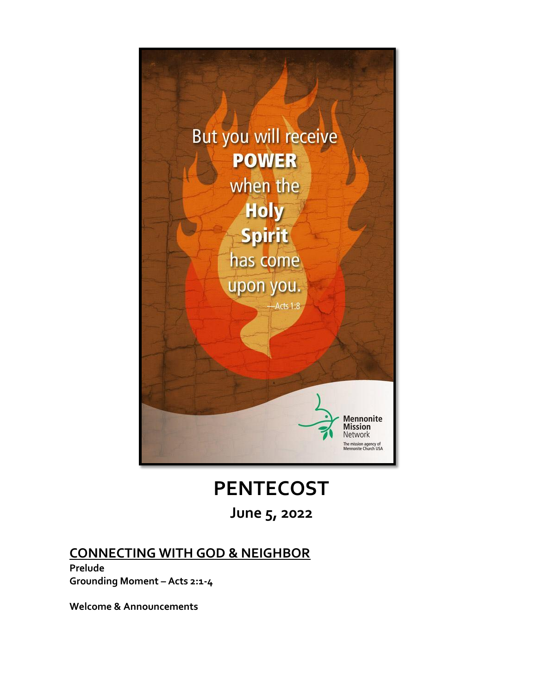

# **PENTECOST**

**June 5, 2022**

## **CONNECTING WITH GOD & NEIGHBOR**

**Prelude Grounding Moment – Acts 2:1-4**

**Welcome & Announcements**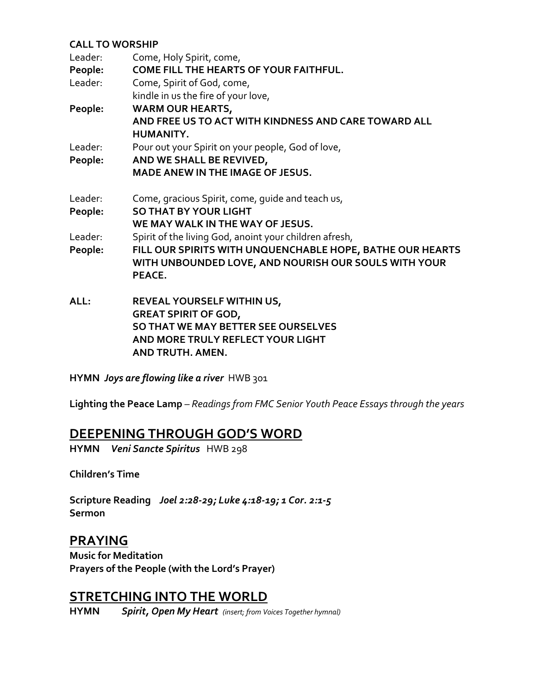#### **CALL TO WORSHIP**

| Leader: | Come, Holy Spirit, come,                                  |
|---------|-----------------------------------------------------------|
| People: | <b>COME FILL THE HEARTS OF YOUR FAITHFUL.</b>             |
| Leader: | Come, Spirit of God, come,                                |
|         | kindle in us the fire of your love,                       |
| People: | <b>WARM OUR HEARTS,</b>                                   |
|         | AND FREE US TO ACT WITH KINDNESS AND CARE TOWARD ALL      |
|         | HUMANITY.                                                 |
| Leader: | Pour out your Spirit on your people, God of love,         |
| People: | AND WE SHALL BE REVIVED,                                  |
|         | <b>MADE ANEW IN THE IMAGE OF JESUS.</b>                   |
| Leader: | Come, gracious Spirit, come, guide and teach us,          |
| People: | <b>SO THAT BY YOUR LIGHT</b>                              |
|         | WE MAY WALK IN THE WAY OF JESUS.                          |
| Leader: | Spirit of the living God, anoint your children afresh,    |
| People: | FILL OUR SPIRITS WITH UNQUENCHABLE HOPE, BATHE OUR HEARTS |
|         | WITH UNBOUNDED LOVE, AND NOURISH OUR SOULS WITH YOUR      |
|         | PEACE.                                                    |
| ALL:    | REVEAL YOURSELF WITHIN US,                                |
|         | <b>GREAT SPIRIT OF GOD,</b>                               |
|         | SO THAT WE MAY BETTER SEE OURSELVES                       |
|         | AND MORE TRULY REFLECT YOUR LIGHT                         |
|         | <b>AND TRUTH, AMEN.</b>                                   |

**HYMN** *Joys are flowing like a river*HWB 301

**Lighting the Peace Lamp** – *Readings from FMC Senior Youth Peace Essays through the years*

### **DEEPENING THROUGH GOD'S WORD**

**HYMN** *Veni Sancte Spiritus* HWB 298

**Children's Time**

**Scripture Reading** *Joel 2:28-29; Luke 4:18-19; 1 Cor. 2:1-5* **Sermon**

### **PRAYING**

**Music for Meditation Prayers of the People (with the Lord's Prayer)**

## **STRETCHING INTO THE WORLD**

**HYMN** *Spirit, Open My Heart (insert; from Voices Together hymnal)*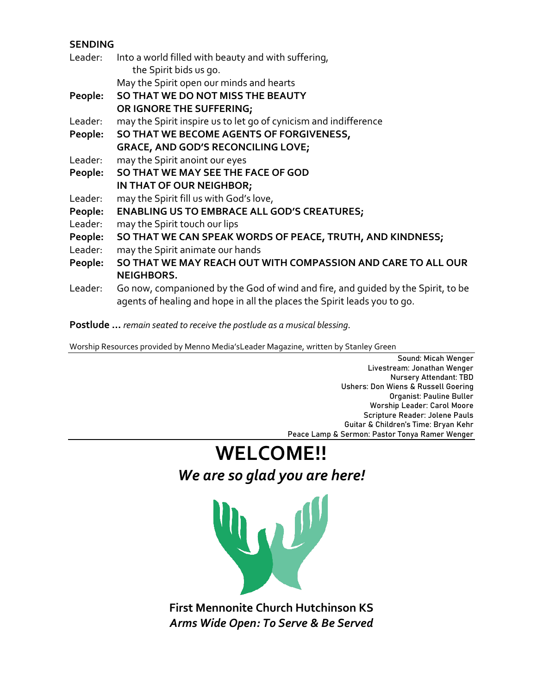#### **SENDING**

| Leader: | Into a world filled with beauty and with suffering,                                                                                                          |
|---------|--------------------------------------------------------------------------------------------------------------------------------------------------------------|
|         | the Spirit bids us go.                                                                                                                                       |
|         | May the Spirit open our minds and hearts                                                                                                                     |
| People: | SO THAT WE DO NOT MISS THE BEAUTY                                                                                                                            |
|         | OR IGNORE THE SUFFERING;                                                                                                                                     |
| Leader: | may the Spirit inspire us to let go of cynicism and indifference                                                                                             |
| People: | SO THAT WE BECOME AGENTS OF FORGIVENESS,                                                                                                                     |
|         | <b>GRACE, AND GOD'S RECONCILING LOVE;</b>                                                                                                                    |
| Leader: | may the Spirit anoint our eyes                                                                                                                               |
| People: | SO THAT WE MAY SEE THE FACE OF GOD                                                                                                                           |
|         | IN THAT OF OUR NEIGHBOR;                                                                                                                                     |
| Leader: | may the Spirit fill us with God's love,                                                                                                                      |
| People: | <b>ENABLING US TO EMBRACE ALL GOD'S CREATURES;</b>                                                                                                           |
| Leader: | may the Spirit touch our lips                                                                                                                                |
| People: | SO THAT WE CAN SPEAK WORDS OF PEACE, TRUTH, AND KINDNESS;                                                                                                    |
| Leader: | may the Spirit animate our hands                                                                                                                             |
| People: | SO THAT WE MAY REACH OUT WITH COMPASSION AND CARE TO ALL OUR                                                                                                 |
|         | <b>NEIGHBORS.</b>                                                                                                                                            |
| Leader: | Go now, companioned by the God of wind and fire, and quided by the Spirit, to be<br>agents of healing and hope in all the places the Spirit leads you to go. |

**Postlude …** *remain seated to receive the postlude as a musical blessing.* 

Worship Resources provided by Menno Media'sLeader Magazine, written by Stanley Green

Sound: Micah Wenger Livestream: Jonathan Wenger Nursery Attendant: TBD Ushers: Don Wiens & Russell Goering Organist: Pauline Buller Worship Leader: Carol Moore Scripture Reader: Jolene Pauls Guitar & Children's Time: Bryan Kehr Peace Lamp & Sermon: Pastor Tonya Ramer Wenger

# **WELCOME!!** *We are so glad you are here!*



**First Mennonite Church Hutchinson KS** *Arms Wide Open: To Serve & Be Served*